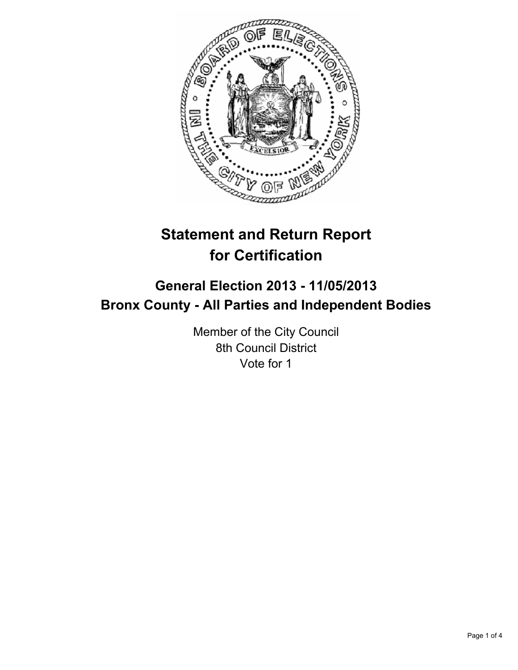

# **Statement and Return Report for Certification**

## **General Election 2013 - 11/05/2013 Bronx County - All Parties and Independent Bodies**

Member of the City Council 8th Council District Vote for 1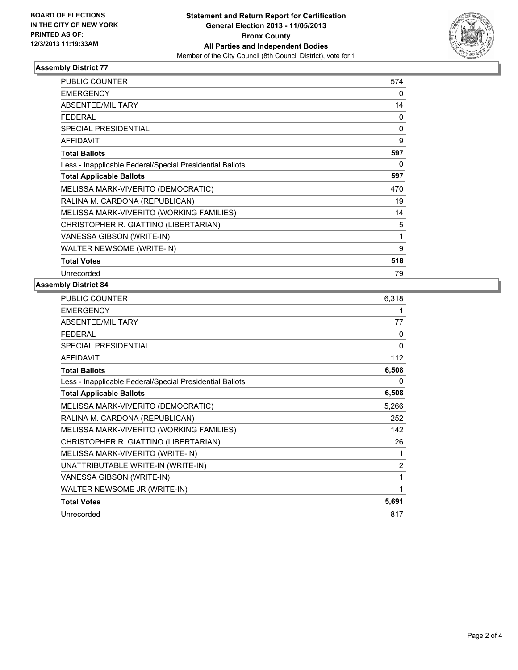

#### **Assembly District 77**

| <b>PUBLIC COUNTER</b>                                    | 574          |
|----------------------------------------------------------|--------------|
| <b>EMERGENCY</b>                                         | 0            |
| ABSENTEE/MILITARY                                        | 14           |
| <b>FEDERAL</b>                                           | 0            |
| <b>SPECIAL PRESIDENTIAL</b>                              | $\Omega$     |
| <b>AFFIDAVIT</b>                                         | 9            |
| <b>Total Ballots</b>                                     | 597          |
| Less - Inapplicable Federal/Special Presidential Ballots | 0            |
| <b>Total Applicable Ballots</b>                          | 597          |
| MELISSA MARK-VIVERITO (DEMOCRATIC)                       | 470          |
| RALINA M. CARDONA (REPUBLICAN)                           | 19           |
| MELISSA MARK-VIVERITO (WORKING FAMILIES)                 | 14           |
| CHRISTOPHER R. GIATTINO (LIBERTARIAN)                    | 5            |
| VANESSA GIBSON (WRITE-IN)                                | $\mathbf{1}$ |
| WALTER NEWSOME (WRITE-IN)                                | 9            |
| <b>Total Votes</b>                                       | 518          |
| Unrecorded                                               | 79           |

### **Assembly District 84**

| PUBLIC COUNTER                                           | 6,318 |
|----------------------------------------------------------|-------|
| <b>EMERGENCY</b>                                         | 1     |
| ABSENTEE/MILITARY                                        | 77    |
| <b>FEDERAL</b>                                           | 0     |
| <b>SPECIAL PRESIDENTIAL</b>                              | 0     |
| <b>AFFIDAVIT</b>                                         | 112   |
| <b>Total Ballots</b>                                     | 6,508 |
| Less - Inapplicable Federal/Special Presidential Ballots | 0     |
| <b>Total Applicable Ballots</b>                          | 6,508 |
| MELISSA MARK-VIVERITO (DEMOCRATIC)                       | 5,266 |
| RALINA M. CARDONA (REPUBLICAN)                           | 252   |
| MELISSA MARK-VIVERITO (WORKING FAMILIES)                 | 142   |
| CHRISTOPHER R. GIATTINO (LIBERTARIAN)                    | 26    |
| MELISSA MARK-VIVERITO (WRITE-IN)                         | 1     |
| UNATTRIBUTABLE WRITE-IN (WRITE-IN)                       | 2     |
| VANESSA GIBSON (WRITE-IN)                                | 1     |
| WALTER NEWSOME JR (WRITE-IN)                             | 1     |
| <b>Total Votes</b>                                       | 5,691 |
| Unrecorded                                               | 817   |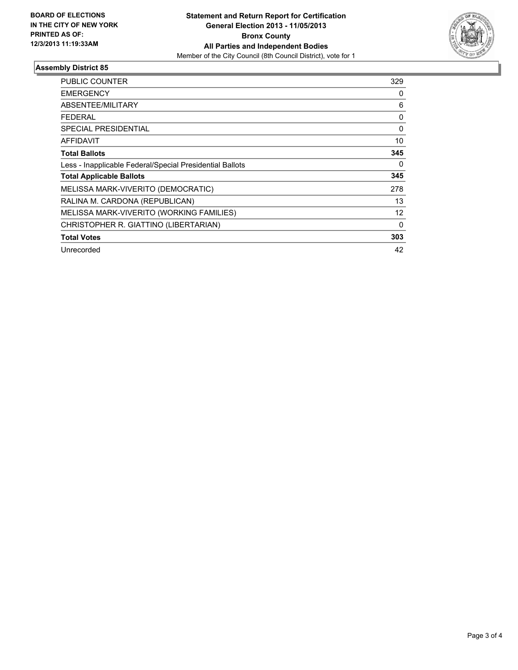

#### **Assembly District 85**

| <b>PUBLIC COUNTER</b>                                    | 329         |
|----------------------------------------------------------|-------------|
| <b>EMERGENCY</b>                                         | 0           |
| ABSENTEE/MILITARY                                        | 6           |
| <b>FEDERAL</b>                                           | 0           |
| SPECIAL PRESIDENTIAL                                     | $\mathbf 0$ |
| AFFIDAVIT                                                | 10          |
| <b>Total Ballots</b>                                     | 345         |
| Less - Inapplicable Federal/Special Presidential Ballots | 0           |
| <b>Total Applicable Ballots</b>                          | 345         |
| MELISSA MARK-VIVERITO (DEMOCRATIC)                       | 278         |
| RALINA M. CARDONA (REPUBLICAN)                           | 13          |
| MELISSA MARK-VIVERITO (WORKING FAMILIES)                 | 12          |
| CHRISTOPHER R. GIATTINO (LIBERTARIAN)                    | 0           |
| <b>Total Votes</b>                                       | 303         |
| Unrecorded                                               | 42          |